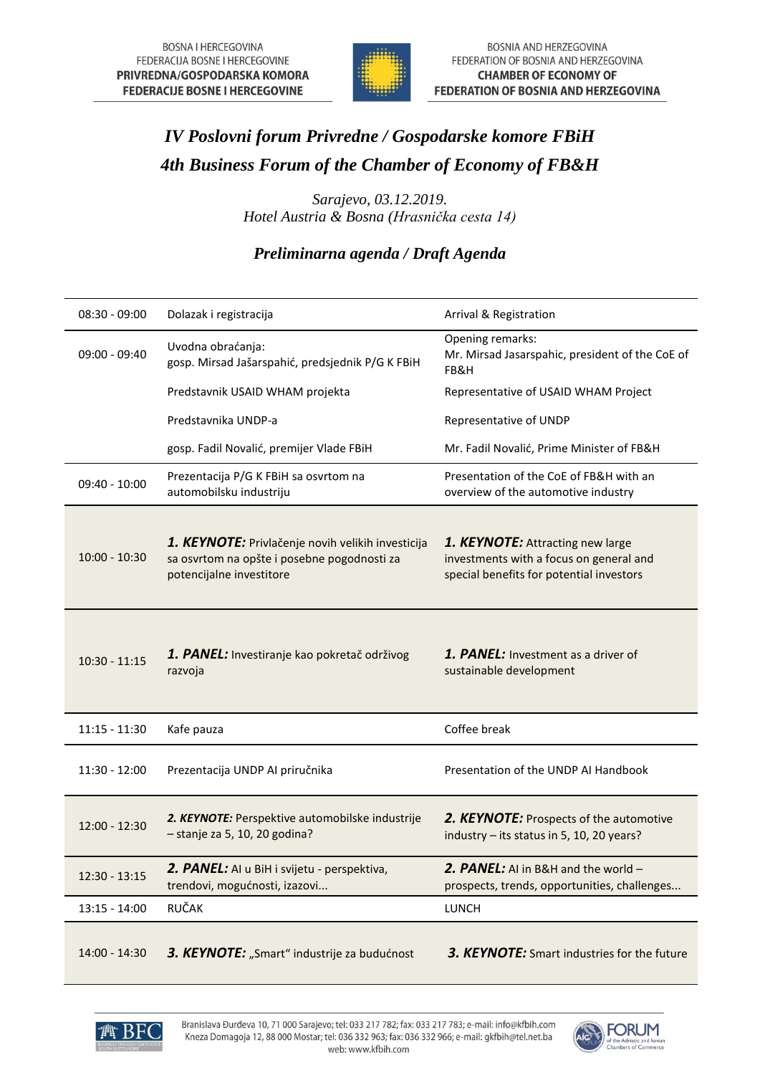

## *IV Poslovni forum Privredne / Gospodarske komore FBiH 4th Business Forum of the Chamber of Economy of FB&H*

*Sarajevo, 03.12.2019. Hotel Austria & Bosna (Hrasnička cesta 14)*

## *Preliminarna agenda / Draft Agenda*

| $08:30 - 09:00$ | Dolazak i registracija                                                                                                       | Arrival & Registration                                                                                                  |
|-----------------|------------------------------------------------------------------------------------------------------------------------------|-------------------------------------------------------------------------------------------------------------------------|
| 09:00 - 09:40   | Uvodna obraćanja:<br>gosp. Mirsad Jašarspahić, predsjednik P/G K FBiH                                                        | Opening remarks:<br>Mr. Mirsad Jasarspahic, president of the CoE of<br>FB&H                                             |
|                 | Predstavnik USAID WHAM projekta                                                                                              | Representative of USAID WHAM Project                                                                                    |
|                 | Predstavnika UNDP-a                                                                                                          | Representative of UNDP                                                                                                  |
|                 | gosp. Fadil Novalić, premijer Vlade FBiH                                                                                     | Mr. Fadil Novalić, Prime Minister of FB&H                                                                               |
| 09:40 - 10:00   | Prezentacija P/G K FBiH sa osvrtom na<br>automobilsku industriju                                                             | Presentation of the CoE of FB&H with an<br>overview of the automotive industry                                          |
| 10:00 - 10:30   | 1. KEYNOTE: Privlačenje novih velikih investicija<br>sa osvrtom na opšte i posebne pogodnosti za<br>potencijalne investitore | 1. KEYNOTE: Attracting new large<br>investments with a focus on general and<br>special benefits for potential investors |
| $10:30 - 11:15$ | 1. PANEL: Investiranje kao pokretač održivog<br>razvoja                                                                      | 1. PANEL: Investment as a driver of<br>sustainable development                                                          |
| 11:15 - 11:30   | Kafe pauza                                                                                                                   | Coffee break                                                                                                            |
| 11:30 - 12:00   | Prezentacija UNDP AI priručnika                                                                                              | Presentation of the UNDP AI Handbook                                                                                    |
| $12:00 - 12:30$ | 2. KEYNOTE: Perspektive automobilske industrije<br>- stanje za 5, 10, 20 godina?                                             | 2. KEYNOTE: Prospects of the automotive<br>industry - its status in 5, 10, 20 years?                                    |
| 12:30 - 13:15   | 2. PANEL: AI u BiH i svijetu - perspektiva,<br>trendovi, mogućnosti, izazovi                                                 | 2. PANEL: AI in B&H and the world -<br>prospects, trends, opportunities, challenges                                     |
| 13:15 - 14:00   | <b>RUČAK</b>                                                                                                                 | <b>LUNCH</b>                                                                                                            |
| 14:00 - 14:30   | 3. KEYNOTE: "Smart" industrije za budućnost                                                                                  | 3. KEYNOTE: Smart industries for the future                                                                             |